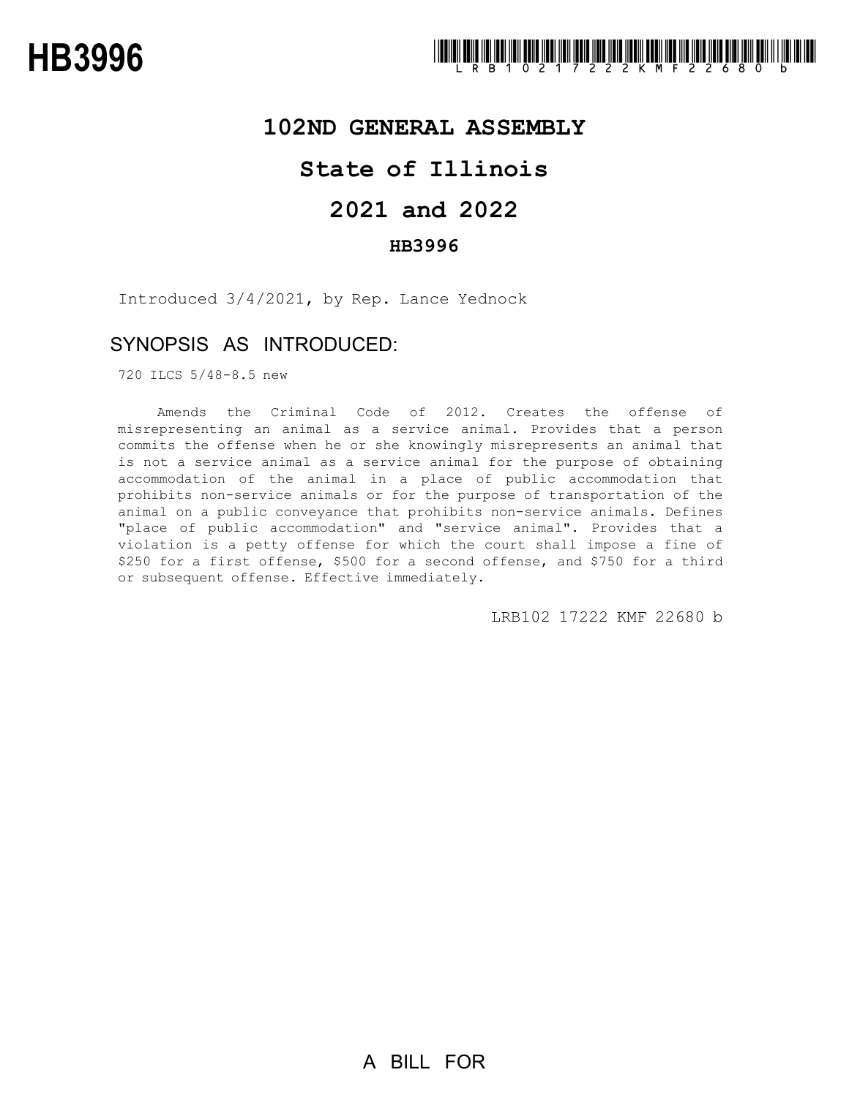

### **102ND GENERAL ASSEMBLY**

## **State of Illinois**

# **2021 and 2022**

### **HB3996**

Introduced 3/4/2021, by Rep. Lance Yednock

## SYNOPSIS AS INTRODUCED:

720 ILCS 5/48-8.5 new

Amends the Criminal Code of 2012. Creates the offense of misrepresenting an animal as a service animal. Provides that a person commits the offense when he or she knowingly misrepresents an animal that is not a service animal as a service animal for the purpose of obtaining accommodation of the animal in a place of public accommodation that prohibits non-service animals or for the purpose of transportation of the animal on a public conveyance that prohibits non-service animals. Defines "place of public accommodation" and "service animal". Provides that a violation is a petty offense for which the court shall impose a fine of \$250 for a first offense, \$500 for a second offense, and \$750 for a third or subsequent offense. Effective immediately.

LRB102 17222 KMF 22680 b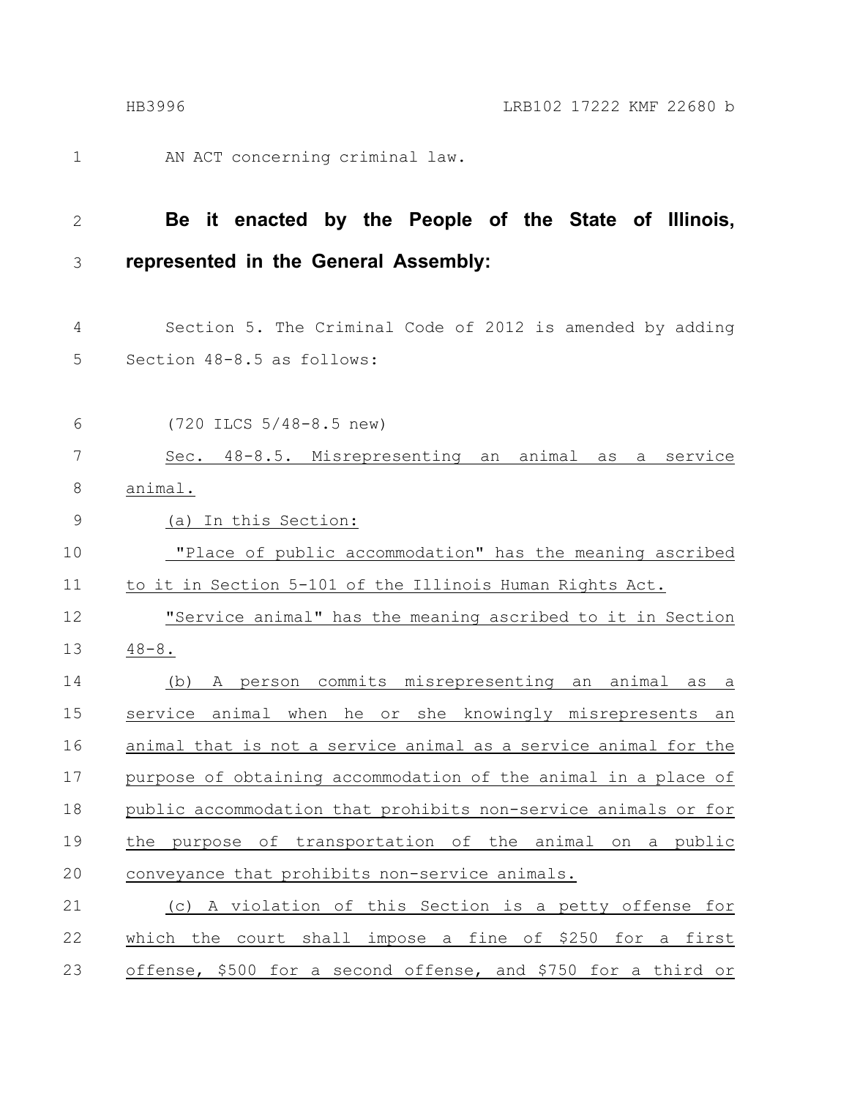1

AN ACT concerning criminal law.

#### **Be it enacted by the People of the State of Illinois, represented in the General Assembly:** 2 3

- Section 5. The Criminal Code of 2012 is amended by adding Section 48-8.5 as follows: 4 5
- (720 ILCS 5/48-8.5 new) Sec. 48-8.5. Misrepresenting an animal as a service animal. (a) In this Section: "Place of public accommodation" has the meaning ascribed to it in Section 5-101 of the Illinois Human Rights Act. "Service animal" has the meaning ascribed to it in Section  $48 - 8$ . (b) A person commits misrepresenting an animal as a service animal when he or she knowingly misrepresents an 6 7 8 9 10 11 12 13 14 15

animal that is not a service animal as a service animal for the purpose of obtaining accommodation of the animal in a place of public accommodation that prohibits non-service animals or for the purpose of transportation of the animal on a public conveyance that prohibits non-service animals. 16 17 18 19 20

(c) A violation of this Section is a petty offense for which the court shall impose a fine of \$250 for a first offense, \$500 for a second offense, and \$750 for a third or 21 22 23